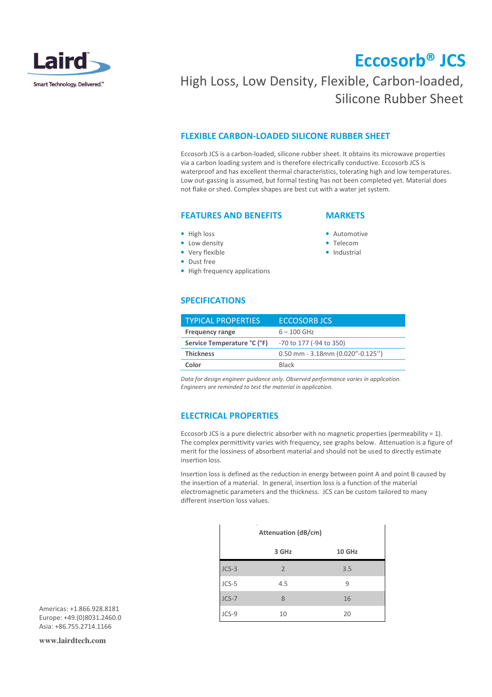

# Eccosorb® JCS

### High Loss, Low Density, Flexible, Carbon-loaded, Silicone Rubber Sheet

#### FLEXIBLE CARBON-LOADED SILICONE RUBBER SHEET

Eccosorb JCS is a carbon-loaded, silicone rubber sheet. It obtains its microwave properties via a carbon loading system and is therefore electrically conductive. Eccosorb JCS is waterproof and has excellent thermal characteristics, tolerating high and low temperatures. Low out-gassing is assumed, but formal testing has not been completed yet. Material does not flake or shed. Complex shapes are best cut with a water jet system.

### FEATURES AND BENEFITS

#### **MARKETS**

• Automotive • Telecom • Industrial

- High loss
- Low density
- Very flexible
- Dust free
- High frequency applications

#### SPECIFICATIONS

| <b>TYPICAL PROPERTIES</b>   | <b>ECCOSORB JCS</b>                |  |
|-----------------------------|------------------------------------|--|
| <b>Frequency range</b>      | $6 - 100$ GHz                      |  |
| Service Temperature °C (°F) | -70 to 177 (-94 to 350)            |  |
| <b>Thickness</b>            | $0.50$ mm - 3.18mm (0.020"-0.125") |  |
| Color                       | <b>Black</b>                       |  |

Data for design engineer guidance only. Observed performance varies in application. Engineers are reminded to test the material in application.

#### ELECTRICAL PROPERTIES

Eccosorb JCS is a pure dielectric absorber with no magnetic properties (permeability = 1). The complex permittivity varies with frequency, see graphs below. Attenuation is a figure of merit for the lossiness of absorbent material and should not be used to directly estimate insertion loss.

Insertion loss is defined as the reduction in energy between point A and point B caused by the insertion of a material. In general, insertion loss is a function of the material electromagnetic parameters and the thickness. JCS can be custom tailored to many different insertion loss values.

| <b>Attenuation (dB/cm)</b> |                |        |
|----------------------------|----------------|--------|
|                            | 3 GHz          | 10 GHz |
| $JCS-3$                    | $\overline{2}$ | 3.5    |
| $JCS-5$                    | 4.5            | 9      |
| $JCS-7$                    | 8              | 16     |
| JCS-9                      | 10             | 20     |

Americas: +1.866.928.8181 Europe: +49.(0)8031.2460.0  $A$ sia:  $+86$ .755.2714.1166

**www.lairdtech.com**